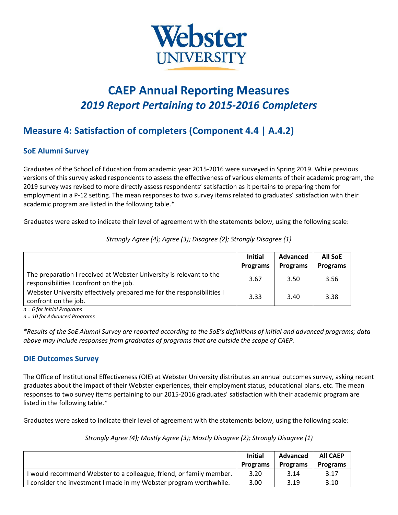

# **CAEP Annual Reporting Measures** *2019 Report Pertaining to 2015-2016 Completers*

## **Measure 4: Satisfaction of completers (Component 4.4 | A.4.2)**

#### **SoE Alumni Survey**

Graduates of the School of Education from academic year 2015-2016 were surveyed in Spring 2019. While previous versions of this survey asked respondents to assess the effectiveness of various elements of their academic program, the 2019 survey was revised to more directly assess respondents' satisfaction as it pertains to preparing them for employment in a P-12 setting. The mean responses to two survey items related to graduates' satisfaction with their academic program are listed in the following table.\*

Graduates were asked to indicate their level of agreement with the statements below, using the following scale:

|                                                                                                                | <b>Initial</b>  | Advanced        | <b>All SoE</b> |  |
|----------------------------------------------------------------------------------------------------------------|-----------------|-----------------|----------------|--|
|                                                                                                                | <b>Programs</b> | <b>Programs</b> | Programs       |  |
| The preparation I received at Webster University is relevant to the<br>responsibilities I confront on the job. | 3.67            | 3.50            | 3.56           |  |
| Webster University effectively prepared me for the responsibilities I<br>confront on the job.                  | 3.33            | 3.40            | 3.38           |  |

*Strongly Agree (4); Agree (3); Disagree (2); Strongly Disagree (1)*

*n = 6 for Initial Programs n = 10 for Advanced Programs*

*\*Results of the SoE Alumni Survey are reported according to the SoE's definitions of initial and advanced programs; data above may include responses from graduates of programs that are outside the scope of CAEP.*

#### **OIE Outcomes Survey**

The Office of Institutional Effectiveness (OIE) at Webster University distributes an annual outcomes survey, asking recent graduates about the impact of their Webster experiences, their employment status, educational plans, etc. The mean responses to two survey items pertaining to our 2015-2016 graduates' satisfaction with their academic program are listed in the following table.\*

Graduates were asked to indicate their level of agreement with the statements below, using the following scale:

#### *Strongly Agree (4); Mostly Agree (3); Mostly Disagree (2); Strongly Disagree (1)*

|                                                                     | <b>Initial</b>  | Advanced        | <b>All CAEP</b> |
|---------------------------------------------------------------------|-----------------|-----------------|-----------------|
|                                                                     | <b>Programs</b> | <b>Programs</b> | <b>Programs</b> |
| I would recommend Webster to a colleague, friend, or family member. | 3.20            | 3.14            | 3.17            |
| I consider the investment I made in my Webster program worthwhile.  | 3.00            | 3.19            | 3.10            |